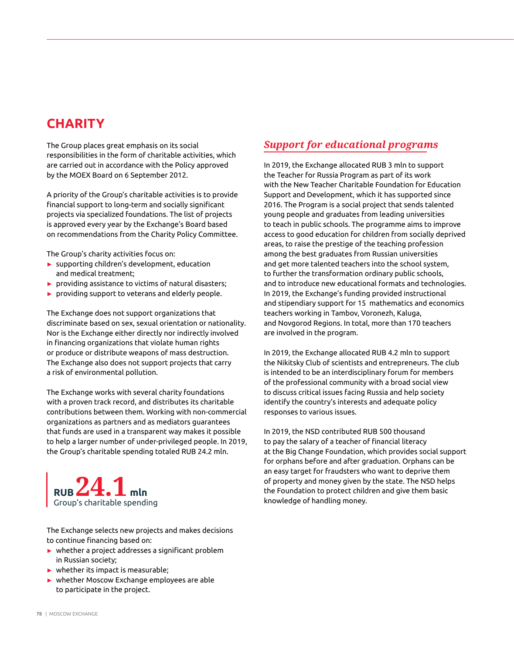## **CHARITY**

The Group places great emphasis on its social responsibilities in the form of charitable activities, which are carried out in accordance with the Policy approved by the MOEX Board on 6 September 2012.

A priority of the Group's charitable activities is to provide financial support to long-term and socially significant projects via specialized foundations. The list of projects is approved every year by the Exchange's Board based on recommendations from the Charity Policy Committee.

The Group's charity activities focus on:

- ► supporting children's development, education and medical treatment;
- ► providing assistance to victims of natural disasters;
- ► providing support to veterans and elderly people.

The Exchange does not support organizations that discriminate based on sex, sexual orientation or nationality. Nor is the Exchange either directly nor indirectly involved in financing organizations that violate human rights or produce or distribute weapons of mass destruction. The Exchange also does not support projects that carry a risk of environmental pollution.

The Exchange works with several charity foundations with a proven track record, and distributes its charitable contributions between them. Working with non-commercial organizations as partners and as mediators guarantees that funds are used in a transparent way makes it possible to help a larger number of under-privileged people. In 2019, the Group's charitable spending totaled RUB 24.2 mln.



The Exchange selects new projects and makes decisions to continue financing based on:

- ► whether a project addresses a significant problem in Russian society;
- $\blacktriangleright$  whether its impact is measurable;
- ► whether Moscow Exchange employees are able to participate in the project.

### *Support for educational programs*

In 2019, the Exchange allocated RUB 3 mln to support the Teacher for Russia Program as part of its work with the New Teacher Charitable Foundation for Education Support and Development, which it has supported since 2016. The Program is a social project that sends talented young people and graduates from leading universities to teach in public schools. The programme aims to improve access to good education for children from socially deprived areas, to raise the prestige of the teaching profession among the best graduates from Russian universities and get more talented teachers into the school system, to further the transformation ordinary public schools, and to introduce new educational formats and technologies. In 2019, the Exchange's funding provided instructional and stipendiary support for 15 mathematics and economics teachers working in Tambov, Voronezh, Kaluga, and Novgorod Regions. In total, more than 170 teachers are involved in the program.

In 2019, the Exchange allocated RUB 4.2 mln to support the Nikitsky Club of scientists and entrepreneurs. The club is intended to be an interdisciplinary forum for members of the professional community with a broad social view to discuss critical issues facing Russia and help society identify the country's interests and adequate policy responses to various issues.

In 2019, the NSD contributed RUB 500 thousand to pay the salary of a teacher of financial literacy at the Big Change Foundation, which provides social support for orphans before and after graduation. Orphans can be an easy target for fraudsters who want to deprive them of property and money given by the state. The NSD helps the Foundation to protect children and give them basic knowledge of handling money.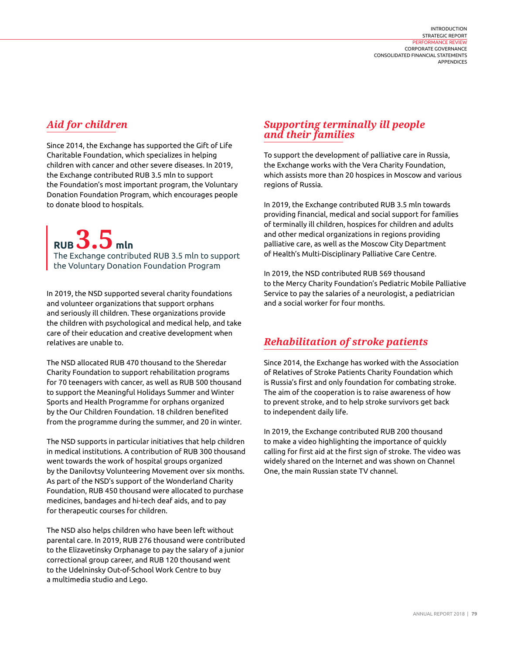### *Aid for children*

Since 2014, the Exchange has supported the Gift of Life Charitable Foundation, which specializes in helping children with cancer and other severe diseases. In 2019, the Exchange contributed RUB 3.5 mln to support the Foundation's most important program, the Voluntary Donation Foundation Program, which encourages people to donate blood to hospitals.

**RUB 3.5 mln**

The Exchange contributed RUB 3.5 mln to support the Voluntary Donation Foundation Program

In 2019, the NSD supported several charity foundations and volunteer organizations that support orphans and seriously ill children. These organizations provide the children with psychological and medical help, and take care of their education and creative development when relatives are unable to.

The NSD allocated RUB 470 thousand to the Sheredar Charity Foundation to support rehabilitation programs for 70 teenagers with cancer, as well as RUB 500 thousand to support the Meaningful Holidays Summer and Winter Sports and Health Programme for orphans organized by the Our Children Foundation. 18 children benefited from the programme during the summer, and 20 in winter.

The NSD supports in particular initiatives that help children in medical institutions. A contribution of RUB 300 thousand went towards the work of hospital groups organized by the Danilovtsy Volunteering Movement over six months. As part of the NSD's support of the Wonderland Charity Foundation, RUB 450 thousand were allocated to purchase medicines, bandages and hi-tech deaf aids, and to pay for therapeutic courses for children.

The NSD also helps children who have been left without parental care. In 2019, RUB 276 thousand were contributed to the Elizavetinsky Orphanage to pay the salary of a junior correctional group career, and RUB 120 thousand went to the Udelninsky Out-of-School Work Centre to buy a multimedia studio and Lego.

#### *Supporting terminally ill people and their families*

To support the development of palliative care in Russia, the Exchange works with the Vera Charity Foundation, which assists more than 20 hospices in Moscow and various regions of Russia.

In 2019, the Exchange contributed RUB 3.5 mln towards providing financial, medical and social support for families of terminally ill children, hospices for children and adults and other medical organizations in regions providing palliative care, as well as the Moscow City Department of Health's Multi-Disciplinary Palliative Care Centre.

In 2019, the NSD contributed RUB 569 thousand to the Mercy Charity Foundation's Pediatric Mobile Palliative Service to pay the salaries of a neurologist, a pediatrician and a social worker for four months.

#### *Rehabilitation of stroke patients*

Since 2014, the Exchange has worked with the Association of Relatives of Stroke Patients Charity Foundation which is Russia's first and only foundation for combating stroke. The aim of the cooperation is to raise awareness of how to prevent stroke, and to help stroke survivors get back to independent daily life.

In 2019, the Exchange contributed RUB 200 thousand to make a video highlighting the importance of quickly calling for first aid at the first sign of stroke. The video was widely shared on the Internet and was shown on Channel One, the main Russian state TV channel.